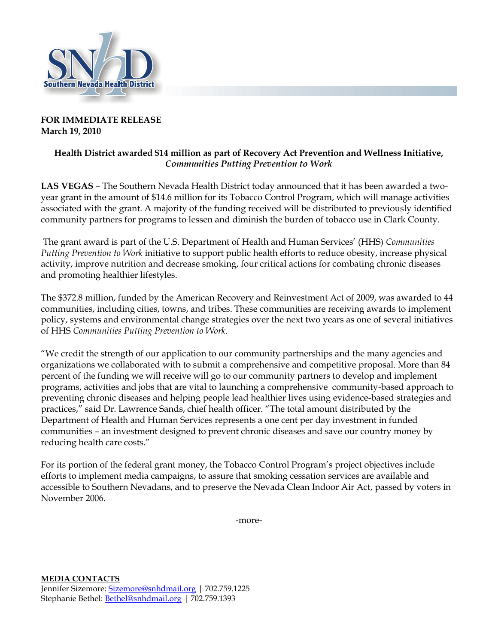

## **FOR IMMEDIATE RELEASE March 19, 2010**

## **Health District awarded \$14 million as part of Recovery Act Prevention and Wellness Initiative,**  *Communities Putting Prevention to Work*

**LAS VEGAS** – The Southern Nevada Health District today announced that it has been awarded a twoyear grant in the amount of \$14.6 million for its Tobacco Control Program, which will manage activities associated with the grant. A majority of the funding received will be distributed to previously identified community partners for programs to lessen and diminish the burden of tobacco use in Clark County.

The grant award is part of the U.S. Department of Health and Human Services' (HHS) *Communities Putting Prevention to Work* initiative to support public health efforts to reduce obesity, increase physical activity, improve nutrition and decrease smoking, four critical actions for combating chronic diseases and promoting healthier lifestyles.

The \$372.8 million, funded by the American Recovery and Reinvestment Act of 2009, was awarded to 44 communities, including cities, towns, and tribes. These communities are receiving awards to implement policy, systems and environmental change strategies over the next two years as one of several initiatives of HHS *Communities Putting Prevention to Work*.

"We credit the strength of our application to our community partnerships and the many agencies and organizations we collaborated with to submit a comprehensive and competitive proposal. More than 84 percent of the funding we will receive will go to our community partners to develop and implement programs, activities and jobs that are vital to launching a comprehensive community-based approach to preventing chronic diseases and helping people lead healthier lives using evidence-based strategies and practices," said Dr. Lawrence Sands, chief health officer. "The total amount distributed by the Department of Health and Human Services represents a one cent per day investment in funded communities – an investment designed to prevent chronic diseases and save our country money by reducing health care costs."

For its portion of the federal grant money, the Tobacco Control Program's project objectives include efforts to implement media campaigns, to assure that smoking cessation services are available and accessible to Southern Nevadans, and to preserve the Nevada Clean Indoor Air Act, passed by voters in November 2006.

-more-